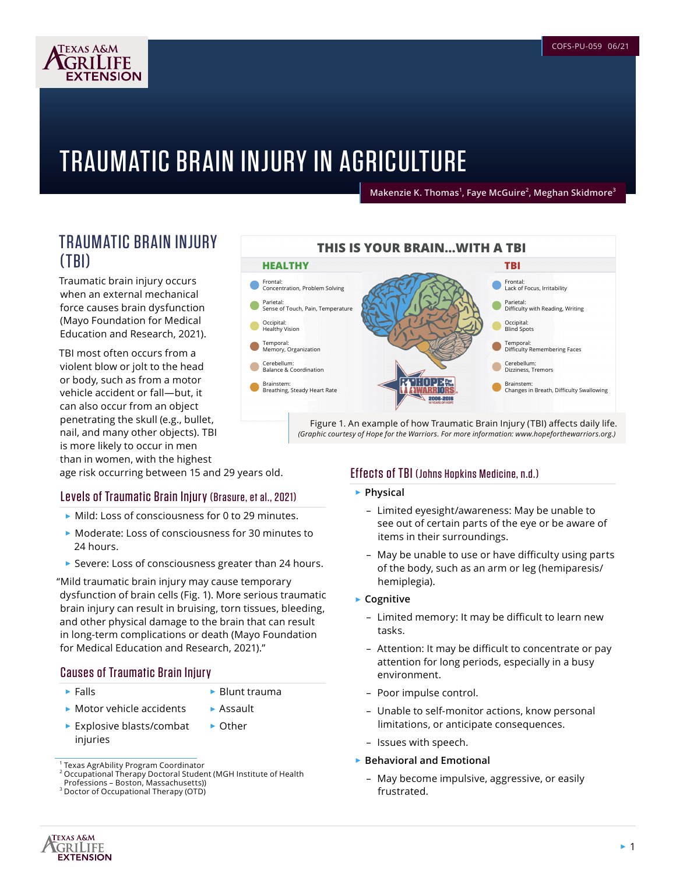

# TRAUMATIC BRAIN INJURY IN AGRICULTURE

**Makenzie K. Thomas<sup>1</sup> , Faye McGuire<sup>2</sup> , Meghan Skidmore<sup>3</sup>**

## TRAUMATIC BRAIN INJURY (TBI)

Traumatic brain injury occurs when an external mechanical force causes brain dysfunction (Mayo Foundation for Medical Education and Research, 2021).

TBI most often occurs from a violent blow or jolt to the head or body, such as from a motor vehicle accident or fall—but, it can also occur from an object penetrating the skull (e.g., bullet, nail, and many other objects). TBI is more likely to occur in men than in women, with the highest

age risk occurring between 15 and 29 years old.

### Levels of Traumatic Brain Injury (Brasure, et al., 2021)

- ► Mild: Loss of consciousness for 0 to 29 minutes.
- ► Moderate: Loss of consciousness for 30 minutes to 24 hours.
- ► Severe: Loss of consciousness greater than 24 hours.

"Mild traumatic brain injury may cause temporary dysfunction of brain cells (Fig. 1). More serious traumatic brain injury can result in bruising, torn tissues, bleeding, and other physical damage to the brain that can result in long-term complications or death (Mayo Foundation for Medical Education and Research, 2021)."

#### Causes of Traumatic Brain Injury

► Falls

- ► Blunt trauma
- ► Motor vehicle accidents ► Assault
- ► Explosive blasts/combat injuries ► Other



Figure 1. An example of how Traumatic Brain Injury (TBI) affects daily life. *(Graphic courtesy of Hope for the Warriors. For more information: [www.hopeforthewarriors.org](http://www.hopeforthewarriors.org).)* 

### Effects of TBI (Johns Hopkins Medicine, n.d.)

- ► **Physical** 
	- Limited eyesight/awareness: May be unable to see out of certain parts of the eye or be aware of items in their surroundings.
	- May be unable to use or have difficulty using parts of the body, such as an arm or leg (hemiparesis/ hemiplegia).
- ► **Cognitive** 
	- Limited memory: It may be difficult to learn new tasks.
	- Attention: It may be difficult to concentrate or pay attention for long periods, especially in a busy environment.
	- Poor impulse control.
	- Unable to self-monitor actions, know personal limitations, or anticipate consequences.
	- Issues with speech.

#### ► **Behavioral and Emotional**

– May become impulsive, aggressive, or easily frustrated.



<sup>&</sup>lt;sup>1</sup> Texas AgrAbility Program Coordinator

<sup>2</sup> Occupational Therapy Doctoral Student (MGH Institute of Health

Professions – Boston, Massachusetts)) <sup>3</sup> Doctor of Occupational Therapy (OTD)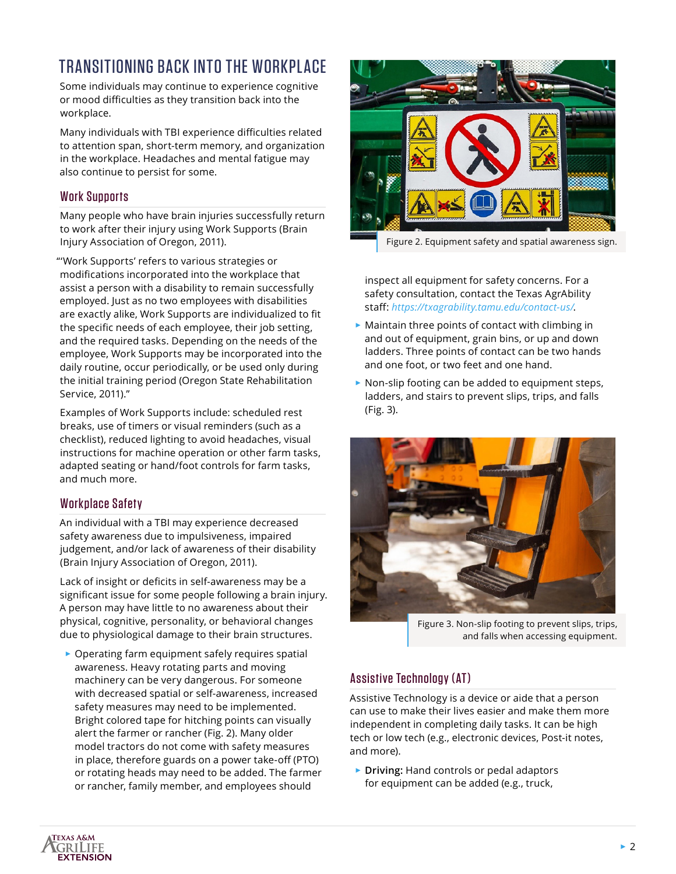# TRANSITIONING BACK INTO THE WORKPLACE

Some individuals may continue to experience cognitive or mood difficulties as they transition back into the workplace.

Many individuals with TBI experience difficulties related to attention span, short-term memory, and organization in the workplace. Headaches and mental fatigue may also continue to persist for some.

### Work Supports

Many people who have brain injuries successfully return to work after their injury using Work Supports (Brain Injury Association of Oregon, 2011).

"'Work Supports' refers to various strategies or modifications incorporated into the workplace that assist a person with a disability to remain successfully employed. Just as no two employees with disabilities are exactly alike, Work Supports are individualized to fit the specific needs of each employee, their job setting, and the required tasks. Depending on the needs of the employee, Work Supports may be incorporated into the daily routine, occur periodically, or be used only during the initial training period (Oregon State Rehabilitation Service, 2011)."

Examples of Work Supports include: scheduled rest breaks, use of timers or visual reminders (such as a checklist), reduced lighting to avoid headaches, visual instructions for machine operation or other farm tasks, adapted seating or hand/foot controls for farm tasks, and much more.

### Workplace Safety

An individual with a TBI may experience decreased safety awareness due to impulsiveness, impaired judgement, and/or lack of awareness of their disability (Brain Injury Association of Oregon, 2011).

Lack of insight or deficits in self-awareness may be a significant issue for some people following a brain injury. A person may have little to no awareness about their physical, cognitive, personality, or behavioral changes due to physiological damage to their brain structures.

► Operating farm equipment safely requires spatial awareness. Heavy rotating parts and moving machinery can be very dangerous. For someone with decreased spatial or self-awareness, increased safety measures may need to be implemented. Bright colored tape for hitching points can visually alert the farmer or rancher (Fig. 2). Many older model tractors do not come with safety measures in place, therefore guards on a power take-off (PTO) or rotating heads may need to be added. The farmer or rancher, family member, and employees should



Figure 2. Equipment safety and spatial awareness sign.

inspect all equipment for safety concerns. For a safety consultation, contact the Texas AgrAbility staff: *<https://txagrability.tamu.edu/contact-us/>*.

- ► Maintain three points of contact with climbing in and out of equipment, grain bins, or up and down ladders. Three points of contact can be two hands and one foot, or two feet and one hand.
- ► Non-slip footing can be added to equipment steps, ladders, and stairs to prevent slips, trips, and falls (Fig. 3).



Figure 3. Non-slip footing to prevent slips, trips, and falls when accessing equipment.

### Assistive Technology (AT)

Assistive Technology is a device or aide that a person can use to make their lives easier and make them more independent in completing daily tasks. It can be high tech or low tech (e.g., electronic devices, Post-it notes, and more).

► **Driving:** Hand controls or pedal adaptors for equipment can be added (e.g., truck,